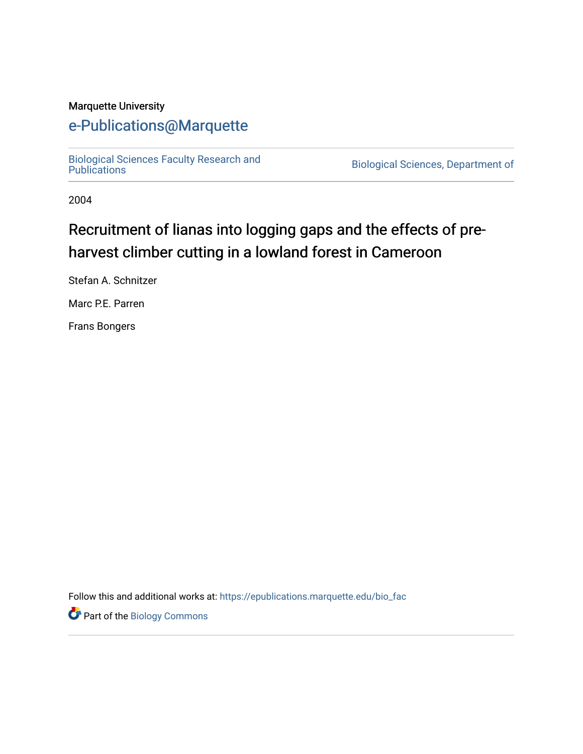#### Marquette University

## [e-Publications@Marquette](https://epublications.marquette.edu/)

[Biological Sciences Faculty Research and](https://epublications.marquette.edu/bio_fac) 

Biological Sciences, Department of

2004

# Recruitment of lianas into logging gaps and the effects of preharvest climber cutting in a lowland forest in Cameroon

Stefan A. Schnitzer

Marc P.E. Parren

Frans Bongers

Follow this and additional works at: [https://epublications.marquette.edu/bio\\_fac](https://epublications.marquette.edu/bio_fac?utm_source=epublications.marquette.edu%2Fbio_fac%2F705&utm_medium=PDF&utm_campaign=PDFCoverPages) 

Part of the [Biology Commons](http://network.bepress.com/hgg/discipline/41?utm_source=epublications.marquette.edu%2Fbio_fac%2F705&utm_medium=PDF&utm_campaign=PDFCoverPages)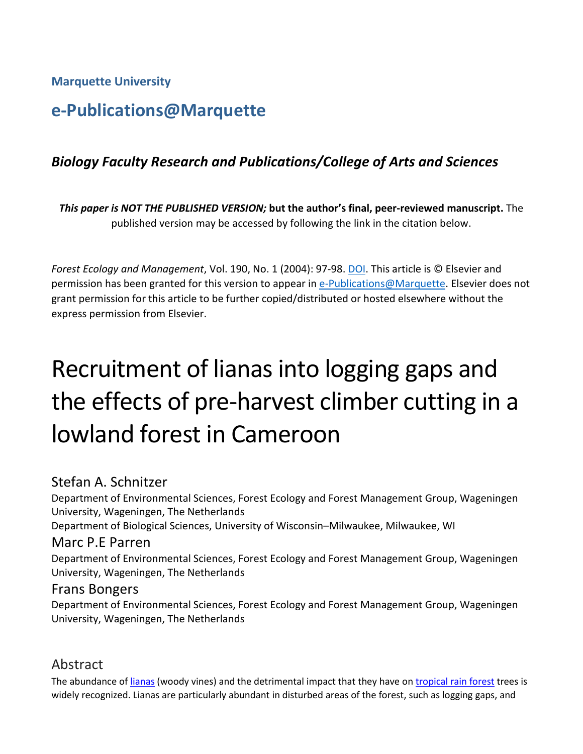**Marquette University**

# **e-Publications@Marquette**

## *Biology Faculty Research and Publications/College of Arts and Sciences*

*This paper is NOT THE PUBLISHED VERSION;* **but the author's final, peer-reviewed manuscript.** The published version may be accessed by following the link in the citation below.

*Forest Ecology and Management*, Vol. 190, No. 1 (2004): 97-98[. DOI.](https://dx.doi.org/110.1016/j.foreco.2003.10.008) This article is © Elsevier and permission has been granted for this version to appear in [e-Publications@Marquette.](http://epublications.marquette.edu/) Elsevier does not grant permission for this article to be further copied/distributed or hosted elsewhere without the express permission from Elsevier.

# Recruitment of lianas into logging gaps and the effects of pre-harvest climber cutting in a lowland forest in Cameroon

## Stefan A. Schnitzer

Department of Environmental Sciences, Forest Ecology and Forest Management Group, Wageningen University, Wageningen, The Netherlands

Department of Biological Sciences, University of Wisconsin–Milwaukee, Milwaukee, WI

#### Marc P.E Parren

Department of Environmental Sciences, Forest Ecology and Forest Management Group, Wageningen University, Wageningen, The Netherlands

#### Frans Bongers

Department of Environmental Sciences, Forest Ecology and Forest Management Group, Wageningen University, Wageningen, The Netherlands

## Abstract

The abundance of [lianas](https://www.sciencedirect.com/topics/agricultural-and-biological-sciences/lianas) (woody vines) and the detrimental impact that they have o[n tropical rain forest](https://www.sciencedirect.com/topics/agricultural-and-biological-sciences/tropical-rain-forests) trees is widely recognized. Lianas are particularly abundant in disturbed areas of the forest, such as logging gaps, and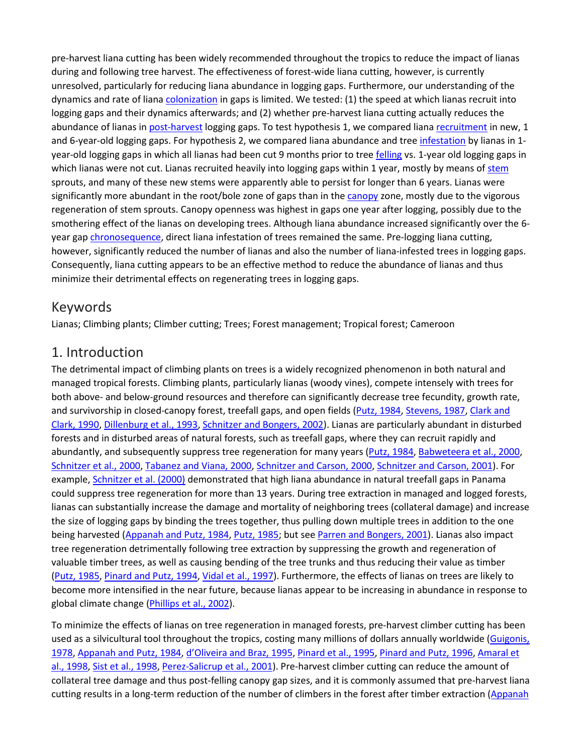pre-harvest liana cutting has been widely recommended throughout the tropics to reduce the impact of lianas during and following tree harvest. The effectiveness of forest-wide liana cutting, however, is currently unresolved, particularly for reducing liana abundance in logging gaps. Furthermore, our understanding of the dynamics and rate of liana [colonization](https://www.sciencedirect.com/topics/earth-and-planetary-sciences/colonisation) in gaps is limited. We tested: (1) the speed at which lianas recruit into logging gaps and their dynamics afterwards; and (2) whether pre-harvest liana cutting actually reduces the abundance of lianas i[n post-harvest](https://www.sciencedirect.com/topics/agricultural-and-biological-sciences/postharvest) logging gaps. To test hypothesis 1, we compared liana [recruitment](https://www.sciencedirect.com/topics/earth-and-planetary-sciences/recruitment-population-dynamics) in new, 1 and 6-year-old logging gaps. For hypothesis 2, we compared liana abundance and tree [infestation](https://www.sciencedirect.com/topics/earth-and-planetary-sciences/infestation) by lianas in 1year-old logging gaps in which all lianas had been cut 9 months prior to tree [felling](https://www.sciencedirect.com/topics/agricultural-and-biological-sciences/felling) vs. 1-year old logging gaps in which lianas were not cut. Lianas recruited heavily into logging gaps within 1 year, mostly by means of [stem](https://www.sciencedirect.com/topics/agricultural-and-biological-sciences/stems) sprouts, and many of these new stems were apparently able to persist for longer than 6 years. Lianas were significantly more abundant in the root/bole zone of gaps than in the [canopy](https://www.sciencedirect.com/topics/earth-and-planetary-sciences/canopy) zone, mostly due to the vigorous regeneration of stem sprouts. Canopy openness was highest in gaps one year after logging, possibly due to the smothering effect of the lianas on developing trees. Although liana abundance increased significantly over the 6 year gap [chronosequence,](https://www.sciencedirect.com/topics/agricultural-and-biological-sciences/chronosequence) direct liana infestation of trees remained the same. Pre-logging liana cutting, however, significantly reduced the number of lianas and also the number of liana-infested trees in logging gaps. Consequently, liana cutting appears to be an effective method to reduce the abundance of lianas and thus minimize their detrimental effects on regenerating trees in logging gaps.

## Keywords

Lianas; Climbing plants; Climber cutting; Trees; Forest management; Tropical forest; Cameroon

## 1. Introduction

The detrimental impact of climbing plants on trees is a widely recognized phenomenon in both natural and managed tropical forests. Climbing plants, particularly lianas (woody vines), compete intensely with trees for both above- and below-ground resources and therefore can significantly decrease tree fecundity, growth rate, and survivorship in closed-canopy forest, treefall gaps, and open fields [\(Putz, 1984,](https://www.sciencedirect.com/science/article/pii/S0378112703004699?via%3Dihub#BIB29) [Stevens, 1987,](https://www.sciencedirect.com/science/article/pii/S0378112703004699?via%3Dihub#BIB43) Clark and [Clark, 1990,](https://www.sciencedirect.com/science/article/pii/S0378112703004699?via%3Dihub#BIB7) [Dillenburg et al., 1993,](https://www.sciencedirect.com/science/article/pii/S0378112703004699?via%3Dihub#BIB11) [Schnitzer and Bongers, 2002\)](https://www.sciencedirect.com/science/article/pii/S0378112703004699?via%3Dihub#BIB36). Lianas are particularly abundant in disturbed forests and in disturbed areas of natural forests, such as treefall gaps, where they can recruit rapidly and abundantly, and subsequently suppress tree regeneration for many years [\(Putz, 1984,](https://www.sciencedirect.com/science/article/pii/S0378112703004699?via%3Dihub#BIB29) [Babweteera et al., 2000,](https://www.sciencedirect.com/science/article/pii/S0378112703004699?via%3Dihub#BIB3) [Schnitzer et al., 2000,](https://www.sciencedirect.com/science/article/pii/S0378112703004699?via%3Dihub#BIB39) [Tabanez and Viana, 2000,](https://www.sciencedirect.com/science/article/pii/S0378112703004699?via%3Dihub#BIB44) [Schnitzer and Carson, 2000,](https://www.sciencedirect.com/science/article/pii/S0378112703004699?via%3Dihub#BIB37) [Schnitzer and Carson, 2001\)](https://www.sciencedirect.com/science/article/pii/S0378112703004699?via%3Dihub#BIB38). For example, [Schnitzer et al. \(2000\)](https://www.sciencedirect.com/science/article/pii/S0378112703004699?via%3Dihub#BIB39) demonstrated that high liana abundance in natural treefall gaps in Panama could suppress tree regeneration for more than 13 years. During tree extraction in managed and logged forests, lianas can substantially increase the damage and mortality of neighboring trees (collateral damage) and increase the size of logging gaps by binding the trees together, thus pulling down multiple trees in addition to the one being harvested [\(Appanah and Putz, 1984,](https://www.sciencedirect.com/science/article/pii/S0378112703004699?via%3Dihub#BIB2) [Putz, 1985;](https://www.sciencedirect.com/science/article/pii/S0378112703004699?via%3Dihub#BIB30) but se[e Parren and Bongers, 2001\)](https://www.sciencedirect.com/science/article/pii/S0378112703004699?via%3Dihub#BIB21). Lianas also impact tree regeneration detrimentally following tree extraction by suppressing the growth and regeneration of valuable timber trees, as well as causing bending of the tree trunks and thus reducing their value as timber [\(Putz, 1985,](https://www.sciencedirect.com/science/article/pii/S0378112703004699?via%3Dihub#BIB30) [Pinard and Putz, 1994,](https://www.sciencedirect.com/science/article/pii/S0378112703004699?via%3Dihub#BIB26) [Vidal et al., 1997\)](https://www.sciencedirect.com/science/article/pii/S0378112703004699?via%3Dihub#BIB47). Furthermore, the effects of lianas on trees are likely to become more intensified in the near future, because lianas appear to be increasing in abundance in response to global climate change [\(Phillips et al., 2002\)](https://www.sciencedirect.com/science/article/pii/S0378112703004699?via%3Dihub#BIB25).

To minimize the effects of lianas on tree regeneration in managed forests, pre-harvest climber cutting has been used as a silvicultural tool throughout the tropics, costing many millions of dollars annually worldwide (Guigonis, [1978,](https://www.sciencedirect.com/science/article/pii/S0378112703004699?via%3Dihub#BIB15) [Appanah and Putz, 1984,](https://www.sciencedirect.com/science/article/pii/S0378112703004699?via%3Dihub#BIB2) [d'Oliveira and Braz, 1995,](https://www.sciencedirect.com/science/article/pii/S0378112703004699?via%3Dihub#BIB8) [Pinard et al., 1995,](https://www.sciencedirect.com/science/article/pii/S0378112703004699?via%3Dihub#BIB28) [Pinard and Putz, 1996,](https://www.sciencedirect.com/science/article/pii/S0378112703004699?via%3Dihub#BIB27) [Amaral et](https://www.sciencedirect.com/science/article/pii/S0378112703004699?via%3Dihub#BIB1)  [al., 1998,](https://www.sciencedirect.com/science/article/pii/S0378112703004699?via%3Dihub#BIB1) [Sist et al., 1998,](https://www.sciencedirect.com/science/article/pii/S0378112703004699?via%3Dihub#BIB41) [Perez-Salicrup et al., 2001\)](https://www.sciencedirect.com/science/article/pii/S0378112703004699?via%3Dihub#BIB24). Pre-harvest climber cutting can reduce the amount of collateral tree damage and thus post-felling canopy gap sizes, and it is commonly assumed that pre-harvest liana cutting results in a long-term reduction of the number of climbers in the forest after timber extraction (Appanah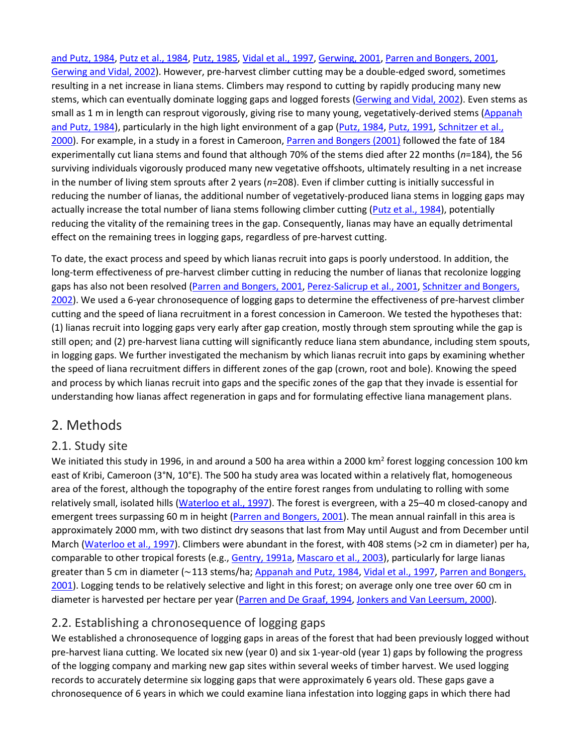[and Putz, 1984,](https://www.sciencedirect.com/science/article/pii/S0378112703004699?via%3Dihub#BIB2) [Putz et al., 1984,](https://www.sciencedirect.com/science/article/pii/S0378112703004699?via%3Dihub#BIB32) [Putz, 1985,](https://www.sciencedirect.com/science/article/pii/S0378112703004699?via%3Dihub#BIB30) [Vidal et al., 1997,](https://www.sciencedirect.com/science/article/pii/S0378112703004699?via%3Dihub#BIB47) [Gerwing, 2001,](https://www.sciencedirect.com/science/article/pii/S0378112703004699?via%3Dihub#BIB13) [Parren and Bongers, 2001,](https://www.sciencedirect.com/science/article/pii/S0378112703004699?via%3Dihub#BIB21) [Gerwing and Vidal, 2002\)](https://www.sciencedirect.com/science/article/pii/S0378112703004699?via%3Dihub#BIB14). However, pre-harvest climber cutting may be a double-edged sword, sometimes resulting in a net increase in liana stems. Climbers may respond to cutting by rapidly producing many new stems, which can eventually dominate logging gaps and logged forests [\(Gerwing and Vidal, 2002\)](https://www.sciencedirect.com/science/article/pii/S0378112703004699?via%3Dihub#BIB14). Even stems as small as 1 m in length can resprout vigorously, giving rise to many young, vegetatively-derived stems [\(Appanah](https://www.sciencedirect.com/science/article/pii/S0378112703004699?via%3Dihub#BIB2)  [and Putz, 1984\)](https://www.sciencedirect.com/science/article/pii/S0378112703004699?via%3Dihub#BIB2), particularly in the high light environment of a gap [\(Putz, 1984,](https://www.sciencedirect.com/science/article/pii/S0378112703004699?via%3Dihub#BIB29) [Putz, 1991,](https://www.sciencedirect.com/science/article/pii/S0378112703004699?via%3Dihub#BIB31) [Schnitzer et al.,](https://www.sciencedirect.com/science/article/pii/S0378112703004699?via%3Dihub#BIB39)  [2000\)](https://www.sciencedirect.com/science/article/pii/S0378112703004699?via%3Dihub#BIB39). For example, in a study in a forest in Cameroon, [Parren and Bongers \(2001\)](https://www.sciencedirect.com/science/article/pii/S0378112703004699?via%3Dihub#BIB21) followed the fate of 184 experimentally cut liana stems and found that although 70% of the stems died after 22 months (*n*=184), the 56 surviving individuals vigorously produced many new vegetative offshoots, ultimately resulting in a net increase in the number of living stem sprouts after 2 years (*n*=208). Even if climber cutting is initially successful in reducing the number of lianas, the additional number of vegetatively-produced liana stems in logging gaps may actually increase the total number of liana stems following climber cutting [\(Putz et al., 1984\)](https://www.sciencedirect.com/science/article/pii/S0378112703004699?via%3Dihub#BIB32), potentially reducing the vitality of the remaining trees in the gap. Consequently, lianas may have an equally detrimental effect on the remaining trees in logging gaps, regardless of pre-harvest cutting.

To date, the exact process and speed by which lianas recruit into gaps is poorly understood. In addition, the long-term effectiveness of pre-harvest climber cutting in reducing the number of lianas that recolonize logging gaps has also not been resolved [\(Parren and Bongers, 2001,](https://www.sciencedirect.com/science/article/pii/S0378112703004699?via%3Dihub#BIB21) [Perez-Salicrup et al., 2001,](https://www.sciencedirect.com/science/article/pii/S0378112703004699?via%3Dihub#BIB24) Schnitzer and Bongers, [2002\)](https://www.sciencedirect.com/science/article/pii/S0378112703004699?via%3Dihub#BIB36). We used a 6-year chronosequence of logging gaps to determine the effectiveness of pre-harvest climber cutting and the speed of liana recruitment in a forest concession in Cameroon. We tested the hypotheses that: (1) lianas recruit into logging gaps very early after gap creation, mostly through stem sprouting while the gap is still open; and (2) pre-harvest liana cutting will significantly reduce liana stem abundance, including stem spouts, in logging gaps. We further investigated the mechanism by which lianas recruit into gaps by examining whether the speed of liana recruitment differs in different zones of the gap (crown, root and bole). Knowing the speed and process by which lianas recruit into gaps and the specific zones of the gap that they invade is essential for understanding how lianas affect regeneration in gaps and for formulating effective liana management plans.

## 2. Methods

#### 2.1. Study site

We initiated this study in 1996, in and around a 500 ha area within a 2000 km<sup>2</sup> forest logging concession 100 km east of Kribi, Cameroon (3°N, 10°E). The 500 ha study area was located within a relatively flat, homogeneous area of the forest, although the topography of the entire forest ranges from undulating to rolling with some relatively small, isolated hills [\(Waterloo et al., 1997\)](https://www.sciencedirect.com/science/article/pii/S0378112703004699?via%3Dihub#BIB48). The forest is evergreen, with a 25–40 m closed-canopy and emergent trees surpassing 60 m in height [\(Parren and Bongers, 2001\)](https://www.sciencedirect.com/science/article/pii/S0378112703004699?via%3Dihub#BIB21). The mean annual rainfall in this area is approximately 2000 mm, with two distinct dry seasons that last from May until August and from December until March [\(Waterloo et al., 1997\)](https://www.sciencedirect.com/science/article/pii/S0378112703004699?via%3Dihub#BIB48). Climbers were abundant in the forest, with 408 stems (>2 cm in diameter) per ha, comparable to other tropical forests (e.g., [Gentry, 1991a,](https://www.sciencedirect.com/science/article/pii/S0378112703004699?via%3Dihub#BIB12) [Mascaro et al.,](https://www.sciencedirect.com/science/article/pii/S0378112703004699?via%3Dihub#BIB19) 2003), particularly for large lianas greater than 5 cm in diameter (∼113 stems/ha; [Appanah and Putz, 1984,](https://www.sciencedirect.com/science/article/pii/S0378112703004699?via%3Dihub#BIB2) [Vidal et al., 1997,](https://www.sciencedirect.com/science/article/pii/S0378112703004699?via%3Dihub#BIB47) [Parren and Bongers,](https://www.sciencedirect.com/science/article/pii/S0378112703004699?via%3Dihub#BIB21)  [2001\)](https://www.sciencedirect.com/science/article/pii/S0378112703004699?via%3Dihub#BIB21). Logging tends to be relatively selective and light in this forest; on average only one tree over 60 cm in diameter is harvested per hectare per year [\(Parren and De Graaf, 1994,](https://www.sciencedirect.com/science/article/pii/S0378112703004699?via%3Dihub#BIB22) [Jonkers and Van Leersum, 2000\)](https://www.sciencedirect.com/science/article/pii/S0378112703004699?via%3Dihub#BIB17).

## 2.2. Establishing a chronosequence of logging gaps

We established a chronosequence of logging gaps in areas of the forest that had been previously logged without pre-harvest liana cutting. We located six new (year 0) and six 1-year-old (year 1) gaps by following the progress of the logging company and marking new gap sites within several weeks of timber harvest. We used logging records to accurately determine six logging gaps that were approximately 6 years old. These gaps gave a chronosequence of 6 years in which we could examine liana infestation into logging gaps in which there had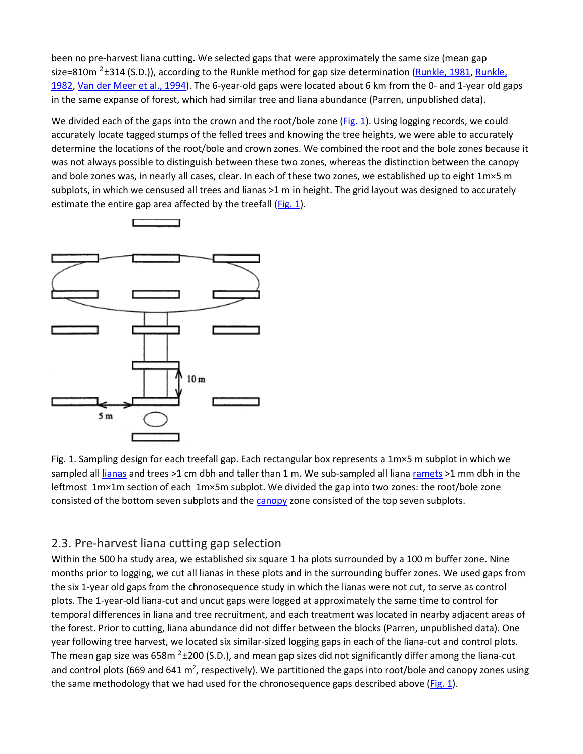been no pre-harvest liana cutting. We selected gaps that were approximately the same size (mean gap size=810m  $2+314$  (S.D.)), according to the Runkle method for gap size determination [\(Runkle, 1981,](https://www.sciencedirect.com/science/article/pii/S0378112703004699?via%3Dihub#BIB33) Runkle, [1982,](https://www.sciencedirect.com/science/article/pii/S0378112703004699?via%3Dihub#BIB34) [Van der Meer et al., 1994\)](https://www.sciencedirect.com/science/article/pii/S0378112703004699?via%3Dihub#BIB46). The 6-year-old gaps were located about 6 km from the 0- and 1-year old gaps in the same expanse of forest, which had similar tree and liana abundance (Parren, unpublished data).

We divided each of the gaps into the crown and the root/bole zone [\(Fig. 1\)](https://www.sciencedirect.com/science/article/pii/S0378112703004699?via%3Dihub#FIG1). Using logging records, we could accurately locate tagged stumps of the felled trees and knowing the tree heights, we were able to accurately determine the locations of the root/bole and crown zones. We combined the root and the bole zones because it was not always possible to distinguish between these two zones, whereas the distinction between the canopy and bole zones was, in nearly all cases, clear. In each of these two zones, we established up to eight 1m×5 m subplots, in which we censused all trees and lianas >1 m in height. The grid layout was designed to accurately estimate the entire gap area affected by the treefall  $(Fig. 1)$ .



Fig. 1. Sampling design for each treefall gap. Each rectangular box represents a 1m×5 m subplot in which we sampled all [lianas](https://www.sciencedirect.com/topics/agricultural-and-biological-sciences/lianas) and trees >1 cm dbh and taller than 1 m. We sub-sampled all lian[a ramets](https://www.sciencedirect.com/topics/earth-and-planetary-sciences/ramet) >1 mm dbh in the leftmost 1m×1m section of each 1m×5m subplot. We divided the gap into two zones: the root/bole zone consisted of the bottom seven subplots and th[e canopy](https://www.sciencedirect.com/topics/earth-and-planetary-sciences/canopy) zone consisted of the top seven subplots.

#### 2.3. Pre-harvest liana cutting gap selection

Within the 500 ha study area, we established six square 1 ha plots surrounded by a 100 m buffer zone. Nine months prior to logging, we cut all lianas in these plots and in the surrounding buffer zones. We used gaps from the six 1-year old gaps from the chronosequence study in which the lianas were not cut, to serve as control plots. The 1-year-old liana-cut and uncut gaps were logged at approximately the same time to control for temporal differences in liana and tree recruitment, and each treatment was located in nearby adjacent areas of the forest. Prior to cutting, liana abundance did not differ between the blocks (Parren, unpublished data). One year following tree harvest, we located six similar-sized logging gaps in each of the liana-cut and control plots. The mean gap size was 658 $m^2 \pm 200$  (S.D.), and mean gap sizes did not significantly differ among the liana-cut and control plots (669 and 641 m<sup>2</sup>, respectively). We partitioned the gaps into root/bole and canopy zones using the same methodology that we had used for the chronosequence gaps described above  $(Fig. 1)$ .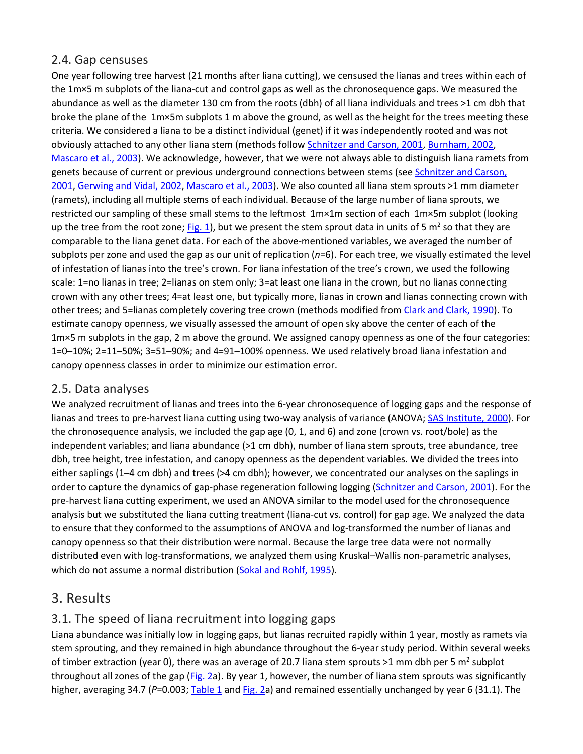#### 2.4. Gap censuses

One year following tree harvest (21 months after liana cutting), we censused the lianas and trees within each of the 1m×5 m subplots of the liana-cut and control gaps as well as the chronosequence gaps. We measured the abundance as well as the diameter 130 cm from the roots (dbh) of all liana individuals and trees >1 cm dbh that broke the plane of the 1m×5m subplots 1 m above the ground, as well as the height for the trees meeting these criteria. We considered a liana to be a distinct individual (genet) if it was independently rooted and was not obviously attached to any other liana stem (methods follow [Schnitzer and Carson, 2001,](https://www.sciencedirect.com/science/article/pii/S0378112703004699?via%3Dihub#BIB38) [Burnham, 2002,](https://www.sciencedirect.com/science/article/pii/S0378112703004699?via%3Dihub#BIB6) [Mascaro et al., 2003\)](https://www.sciencedirect.com/science/article/pii/S0378112703004699?via%3Dihub#BIB19). We acknowledge, however, that we were not always able to distinguish liana ramets from genets because of current or previous underground connections between stems (see Schnitzer and Carson, [2001,](https://www.sciencedirect.com/science/article/pii/S0378112703004699?via%3Dihub#BIB38) [Gerwing and Vidal, 2002,](https://www.sciencedirect.com/science/article/pii/S0378112703004699?via%3Dihub#BIB14) [Mascaro et al., 2003\)](https://www.sciencedirect.com/science/article/pii/S0378112703004699?via%3Dihub#BIB19). We also counted all liana stem sprouts >1 mm diameter (ramets), including all multiple stems of each individual. Because of the large number of liana sprouts, we restricted our sampling of these small stems to the leftmost 1m×1m section of each 1m×5m subplot (looking up the tree from the root zone[; Fig. 1\)](https://www.sciencedirect.com/science/article/pii/S0378112703004699?via%3Dihub#FIG1), but we present the stem sprout data in units of 5  $m^2$  so that they are comparable to the liana genet data. For each of the above-mentioned variables, we averaged the number of subplots per zone and used the gap as our unit of replication (*n*=6). For each tree, we visually estimated the level of infestation of lianas into the tree's crown. For liana infestation of the tree's crown, we used the following scale: 1=no lianas in tree; 2=lianas on stem only; 3=at least one liana in the crown, but no lianas connecting crown with any other trees; 4=at least one, but typically more, lianas in crown and lianas connecting crown with other trees; and 5=lianas completely covering tree crown (methods modified from [Clark and Clark, 1990\)](https://www.sciencedirect.com/science/article/pii/S0378112703004699?via%3Dihub#BIB7). To estimate canopy openness, we visually assessed the amount of open sky above the center of each of the 1m×5 m subplots in the gap, 2 m above the ground. We assigned canopy openness as one of the four categories: 1=0–10%; 2=11–50%; 3=51–90%; and 4=91–100% openness. We used relatively broad liana infestation and canopy openness classes in order to minimize our estimation error.

#### 2.5. Data analyses

We analyzed recruitment of lianas and trees into the 6-year chronosequence of logging gaps and the response of lianas and trees to pre-harvest liana cutting using two-way analysis of variance (ANOVA; [SAS Institute, 2000\)](https://www.sciencedirect.com/science/article/pii/S0378112703004699?via%3Dihub#BIB35). For the chronosequence analysis, we included the gap age (0, 1, and 6) and zone (crown vs. root/bole) as the independent variables; and liana abundance (>1 cm dbh), number of liana stem sprouts, tree abundance, tree dbh, tree height, tree infestation, and canopy openness as the dependent variables. We divided the trees into either saplings (1–4 cm dbh) and trees (>4 cm dbh); however, we concentrated our analyses on the saplings in order to capture the dynamics of gap-phase regeneration following logging [\(Schnitzer and Carson, 2001\)](https://www.sciencedirect.com/science/article/pii/S0378112703004699?via%3Dihub#BIB38). For the pre-harvest liana cutting experiment, we used an ANOVA similar to the model used for the chronosequence analysis but we substituted the liana cutting treatment (liana-cut vs. control) for gap age. We analyzed the data to ensure that they conformed to the assumptions of ANOVA and log-transformed the number of lianas and canopy openness so that their distribution were normal. Because the large tree data were not normally distributed even with log-transformations, we analyzed them using Kruskal–Wallis non-parametric analyses, which do not assume a normal distribution [\(Sokal and Rohlf, 1995\)](https://www.sciencedirect.com/science/article/pii/S0378112703004699?via%3Dihub#BIB42).

#### 3. Results

#### 3.1. The speed of liana recruitment into logging gaps

Liana abundance was initially low in logging gaps, but lianas recruited rapidly within 1 year, mostly as ramets via stem sprouting, and they remained in high abundance throughout the 6-year study period. Within several weeks of timber extraction (year 0), there was an average of 20.7 liana stem sprouts  $>1$  mm dbh per 5 m<sup>2</sup> subplot throughout all zones of the gap [\(Fig. 2a](https://www.sciencedirect.com/science/article/pii/S0378112703004699?via%3Dihub#FIG2)). By year 1, however, the number of liana stem sprouts was significantly higher, averaging 34.7 (P=0.003; [Table 1](https://www.sciencedirect.com/science/article/pii/S0378112703004699?via%3Dihub#TBL1) and [Fig. 2a](https://www.sciencedirect.com/science/article/pii/S0378112703004699?via%3Dihub#FIG2)) and remained essentially unchanged by year 6 (31.1). The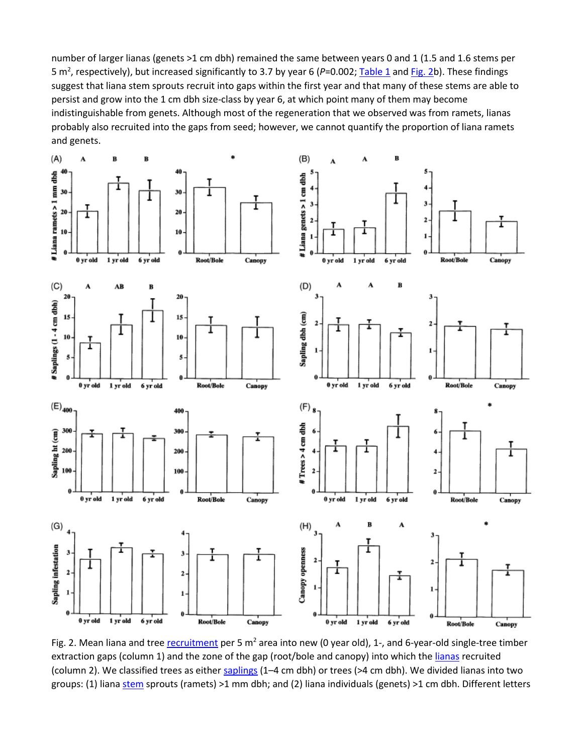number of larger lianas (genets >1 cm dbh) remained the same between years 0 and 1 (1.5 and 1.6 stems per 5 m<sup>2</sup>, respectively), but increased significantly to 3.7 by year 6 (P=0.002[; Table 1](https://www.sciencedirect.com/science/article/pii/S0378112703004699?via%3Dihub#TBL1) an[d Fig. 2b](https://www.sciencedirect.com/science/article/pii/S0378112703004699?via%3Dihub#FIG2)). These findings suggest that liana stem sprouts recruit into gaps within the first year and that many of these stems are able to persist and grow into the 1 cm dbh size-class by year 6, at which point many of them may become indistinguishable from genets. Although most of the regeneration that we observed was from ramets, lianas probably also recruited into the gaps from seed; however, we cannot quantify the proportion of liana ramets and genets.



Fig. 2. Mean liana and tree *recruitment* per 5  $m^2$  area into new (0 year old), 1-, and 6-year-old single-tree timber extraction gaps (column 1) and the zone of the gap (root/bole and canopy) into which the [lianas](https://www.sciencedirect.com/topics/agricultural-and-biological-sciences/lianas) recruited (column 2). We classified trees as either [saplings](https://www.sciencedirect.com/topics/agricultural-and-biological-sciences/saplings) (1–4 cm dbh) or trees (>4 cm dbh). We divided lianas into two groups: (1) lian[a stem](https://www.sciencedirect.com/topics/agricultural-and-biological-sciences/stems) sprouts (ramets) >1 mm dbh; and (2) liana individuals (genets) >1 cm dbh. Different letters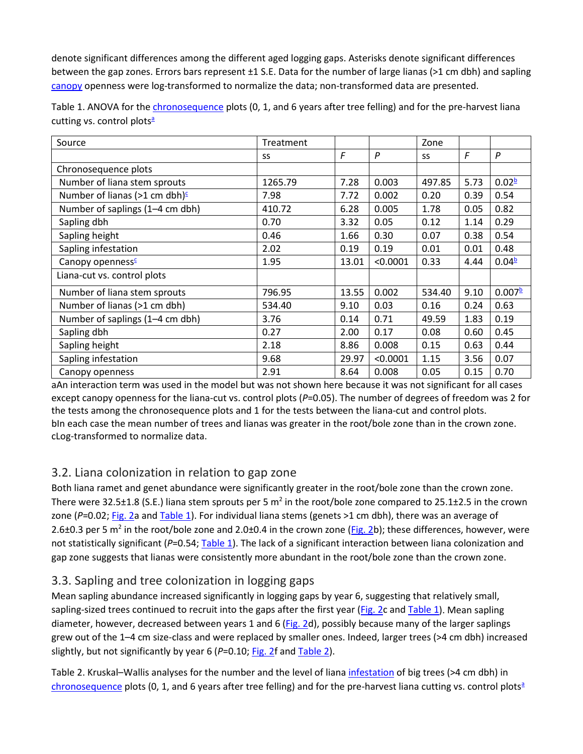denote significant differences among the different aged logging gaps. Asterisks denote significant differences between the gap zones. Errors bars represent ±1 S.E. Data for the number of large lianas (>1 cm dbh) and sapling [canopy](https://www.sciencedirect.com/topics/earth-and-planetary-sciences/canopy) openness were log-transformed to normalize the data; non-transformed data are presented.

| Source                                     | Treatment |       |          | Zone   |            |                    |
|--------------------------------------------|-----------|-------|----------|--------|------------|--------------------|
|                                            | SS        | F     | P        | SS     | $\sqrt{F}$ | P                  |
| Chronosequence plots                       |           |       |          |        |            |                    |
| Number of liana stem sprouts               | 1265.79   | 7.28  | 0.003    | 497.85 | 5.73       | 0.02 <sup>b</sup>  |
| Number of lianas (>1 cm dbh) $\frac{c}{2}$ | 7.98      | 7.72  | 0.002    | 0.20   | 0.39       | 0.54               |
| Number of saplings (1-4 cm dbh)            | 410.72    | 6.28  | 0.005    | 1.78   | 0.05       | 0.82               |
| Sapling dbh                                | 0.70      | 3.32  | 0.05     | 0.12   | 1.14       | 0.29               |
| Sapling height                             | 0.46      | 1.66  | 0.30     | 0.07   | 0.38       | 0.54               |
| Sapling infestation                        | 2.02      | 0.19  | 0.19     | 0.01   | 0.01       | 0.48               |
| Canopy openness <sup>c</sup>               | 1.95      | 13.01 | < 0.0001 | 0.33   | 4.44       | 0.04 <sup>b</sup>  |
| Liana-cut vs. control plots                |           |       |          |        |            |                    |
| Number of liana stem sprouts               | 796.95    | 13.55 | 0.002    | 534.40 | 9.10       | 0.007 <sup>b</sup> |
| Number of lianas (>1 cm dbh)               | 534.40    | 9.10  | 0.03     | 0.16   | 0.24       | 0.63               |
| Number of saplings (1-4 cm dbh)            | 3.76      | 0.14  | 0.71     | 49.59  | 1.83       | 0.19               |
| Sapling dbh                                | 0.27      | 2.00  | 0.17     | 0.08   | 0.60       | 0.45               |
| Sapling height                             | 2.18      | 8.86  | 0.008    | 0.15   | 0.63       | 0.44               |
| Sapling infestation                        | 9.68      | 29.97 | < 0.0001 | 1.15   | 3.56       | 0.07               |
| Canopy openness                            | 2.91      | 8.64  | 0.008    | 0.05   | 0.15       | 0.70               |

Table 1. ANOVA for th[e chronosequence](https://www.sciencedirect.com/topics/agricultural-and-biological-sciences/chronosequence) plots (0, 1, and 6 years after tree felling) and for the pre-harvest liana cutting vs. control plots $a$ 

aAn interaction term was used in the model but was not shown here because it was not significant for all cases except canopy openness for the liana-cut vs. control plots (P=0.05). The number of degrees of freedom was 2 for the tests among the chronosequence plots and 1 for the tests between the liana-cut and control plots. bIn each case the mean number of trees and lianas was greater in the root/bole zone than in the crown zone. cLog-transformed to normalize data.

#### 3.2. Liana colonization in relation to gap zone

Both liana ramet and genet abundance were significantly greater in the root/bole zone than the crown zone. There were 32.5 $\pm$ 1.8 (S.E.) liana stem sprouts per 5 m<sup>2</sup> in the root/bole zone compared to 25.1 $\pm$ 2.5 in the crown zone (P=0.02; [Fig. 2a](https://www.sciencedirect.com/science/article/pii/S0378112703004699?via%3Dihub#FIG2) and [Table 1\)](https://www.sciencedirect.com/science/article/pii/S0378112703004699?via%3Dihub#TBL1). For individual liana stems (genets >1 cm dbh), there was an average of 2.6±0.3 per 5 m<sup>2</sup> in the root/bole zone and 2.0±0.4 in the crown zone [\(Fig. 2b](https://www.sciencedirect.com/science/article/pii/S0378112703004699?via%3Dihub#FIG2)); these differences, however, were not statistically significant (P=0.54[; Table 1\)](https://www.sciencedirect.com/science/article/pii/S0378112703004699?via%3Dihub#TBL1). The lack of a significant interaction between liana colonization and gap zone suggests that lianas were consistently more abundant in the root/bole zone than the crown zone.

## 3.3. Sapling and tree colonization in logging gaps

Mean sapling abundance increased significantly in logging gaps by year 6, suggesting that relatively small, sapling-sized trees continued to recruit into the gaps after the first year [\(Fig. 2c](https://www.sciencedirect.com/science/article/pii/S0378112703004699?via%3Dihub#FIG2) an[d Table 1\)](https://www.sciencedirect.com/science/article/pii/S0378112703004699?via%3Dihub#TBL1). Mean sapling diameter, however, decreased between years 1 and 6 [\(Fig. 2d](https://www.sciencedirect.com/science/article/pii/S0378112703004699?via%3Dihub#FIG2)), possibly because many of the larger saplings grew out of the 1–4 cm size-class and were replaced by smaller ones. Indeed, larger trees (>4 cm dbh) increased slightly, but not significantly by year 6 (P=0.10[; Fig. 2f](https://www.sciencedirect.com/science/article/pii/S0378112703004699?via%3Dihub#FIG2) and [Table 2\)](https://www.sciencedirect.com/science/article/pii/S0378112703004699?via%3Dihub#TBL2).

Table 2. Kruskal–Wallis analyses for the number and the level of liana [infestation](https://www.sciencedirect.com/topics/earth-and-planetary-sciences/infestation) of big trees (>4 cm dbh) in [chronosequence](https://www.sciencedirect.com/topics/agricultural-and-biological-sciences/chronosequence) plots (0, 1, and 6 years after tree felling) and for the pre-harvest liana cutting vs. control plots<sup>a</sup>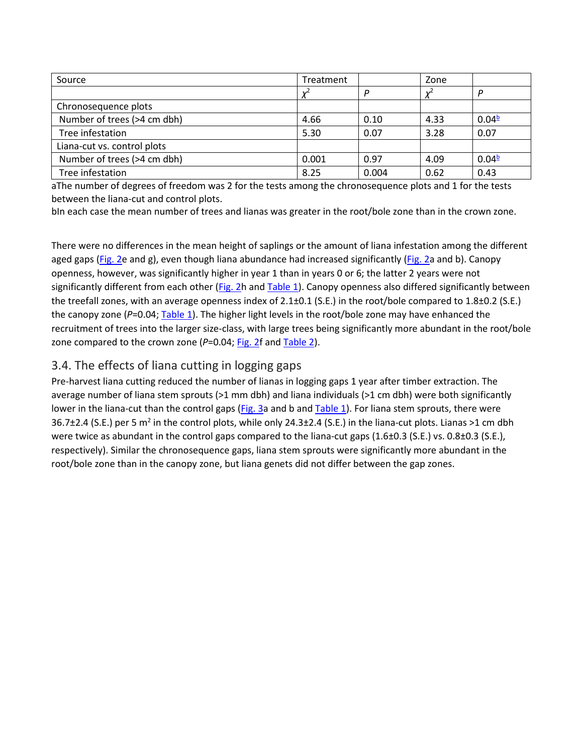| Source                      | Treatment |       | Zone  |                      |
|-----------------------------|-----------|-------|-------|----------------------|
|                             | $v^2$     | D     | $v^2$ |                      |
| Chronosequence plots        |           |       |       |                      |
| Number of trees (>4 cm dbh) | 4.66      | 0.10  | 4.33  | $0.04^{\frac{b}{2}}$ |
| Tree infestation            | 5.30      | 0.07  | 3.28  | 0.07                 |
| Liana-cut vs. control plots |           |       |       |                      |
| Number of trees (>4 cm dbh) | 0.001     | 0.97  | 4.09  | $0.04^{\frac{b}{2}}$ |
| Tree infestation            | 8.25      | 0.004 | 0.62  | 0.43                 |

aThe number of degrees of freedom was 2 for the tests among the chronosequence plots and 1 for the tests between the liana-cut and control plots.

bIn each case the mean number of trees and lianas was greater in the root/bole zone than in the crown zone.

There were no differences in the mean height of saplings or the amount of liana infestation among the different aged gaps [\(Fig. 2e](https://www.sciencedirect.com/science/article/pii/S0378112703004699?via%3Dihub#FIG2) and g), even though liana abundance had increased significantly [\(Fig. 2a](https://www.sciencedirect.com/science/article/pii/S0378112703004699?via%3Dihub#FIG2) and b). Canopy openness, however, was significantly higher in year 1 than in years 0 or 6; the latter 2 years were not significantly different from each other [\(Fig. 2h](https://www.sciencedirect.com/science/article/pii/S0378112703004699?via%3Dihub#FIG2) and [Table 1\)](https://www.sciencedirect.com/science/article/pii/S0378112703004699?via%3Dihub#TBL1). Canopy openness also differed significantly between the treefall zones, with an average openness index of 2.1±0.1 (S.E.) in the root/bole compared to 1.8±0.2 (S.E.) the canopy zone (*P*=0.04[; Table 1\)](https://www.sciencedirect.com/science/article/pii/S0378112703004699?via%3Dihub#TBL1). The higher light levels in the root/bole zone may have enhanced the recruitment of trees into the larger size-class, with large trees being significantly more abundant in the root/bole zone compared to the crown zone (P=0.04; [Fig. 2f](https://www.sciencedirect.com/science/article/pii/S0378112703004699?via%3Dihub#FIG2) an[d Table 2\)](https://www.sciencedirect.com/science/article/pii/S0378112703004699?via%3Dihub#TBL2).

#### 3.4. The effects of liana cutting in logging gaps

Pre-harvest liana cutting reduced the number of lianas in logging gaps 1 year after timber extraction. The average number of liana stem sprouts (>1 mm dbh) and liana individuals (>1 cm dbh) were both significantly lower in the liana-cut than the control gaps [\(Fig. 3a](https://www.sciencedirect.com/science/article/pii/S0378112703004699?via%3Dihub#FIG3) and b and [Table 1\)](https://www.sciencedirect.com/science/article/pii/S0378112703004699?via%3Dihub#TBL1). For liana stem sprouts, there were 36.7±2.4 (S.E.) per 5 m2 in the control plots, while only 24.3±2.4 (S.E.) in the liana-cut plots. Lianas >1 cm dbh were twice as abundant in the control gaps compared to the liana-cut gaps (1.6±0.3 (S.E.) vs. 0.8±0.3 (S.E.), respectively). Similar the chronosequence gaps, liana stem sprouts were significantly more abundant in the root/bole zone than in the canopy zone, but liana genets did not differ between the gap zones.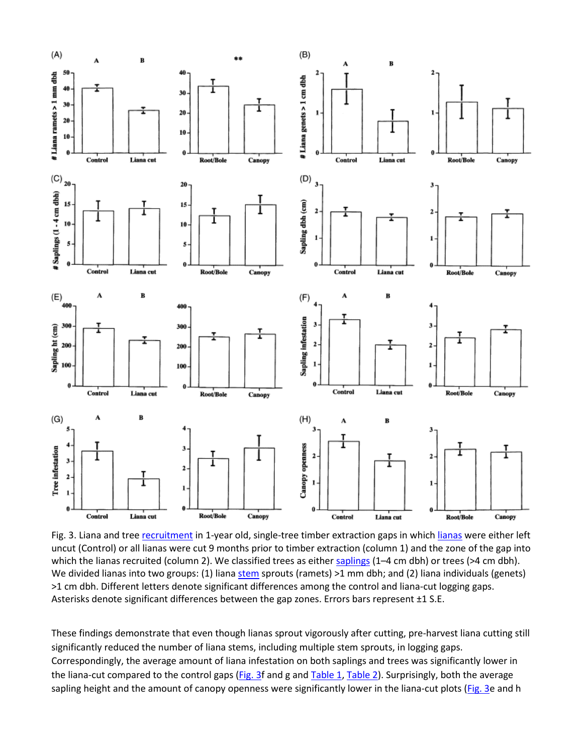

Fig. 3. Liana and tree [recruitment](https://www.sciencedirect.com/topics/earth-and-planetary-sciences/recruitment-population-dynamics) in 1-year old, single-tree timber extraction gaps in whic[h lianas](https://www.sciencedirect.com/topics/agricultural-and-biological-sciences/lianas) were either left uncut (Control) or all lianas were cut 9 months prior to timber extraction (column 1) and the zone of the gap into which the lianas recruited (column 2). We classified trees as either [saplings](https://www.sciencedirect.com/topics/agricultural-and-biological-sciences/saplings) (1–4 cm dbh) or trees (>4 cm dbh). We divided lianas into two groups: (1) liana [stem](https://www.sciencedirect.com/topics/agricultural-and-biological-sciences/stems) sprouts (ramets) >1 mm dbh; and (2) liana individuals (genets) >1 cm dbh. Different letters denote significant differences among the control and liana-cut logging gaps. Asterisks denote significant differences between the gap zones. Errors bars represent ±1 S.E.

These findings demonstrate that even though lianas sprout vigorously after cutting, pre-harvest liana cutting still significantly reduced the number of liana stems, including multiple stem sprouts, in logging gaps. Correspondingly, the average amount of liana infestation on both saplings and trees was significantly lower in the liana-cut compared to the control gaps [\(Fig. 3f](https://www.sciencedirect.com/science/article/pii/S0378112703004699?via%3Dihub#FIG3) and g an[d Table 1,](https://www.sciencedirect.com/science/article/pii/S0378112703004699?via%3Dihub#TBL1) [Table 2\)](https://www.sciencedirect.com/science/article/pii/S0378112703004699?via%3Dihub#TBL2). Surprisingly, both the average sapling height and the amount of canopy openness were significantly lower in the liana-cut plots [\(Fig. 3e](https://www.sciencedirect.com/science/article/pii/S0378112703004699?via%3Dihub#FIG3) and h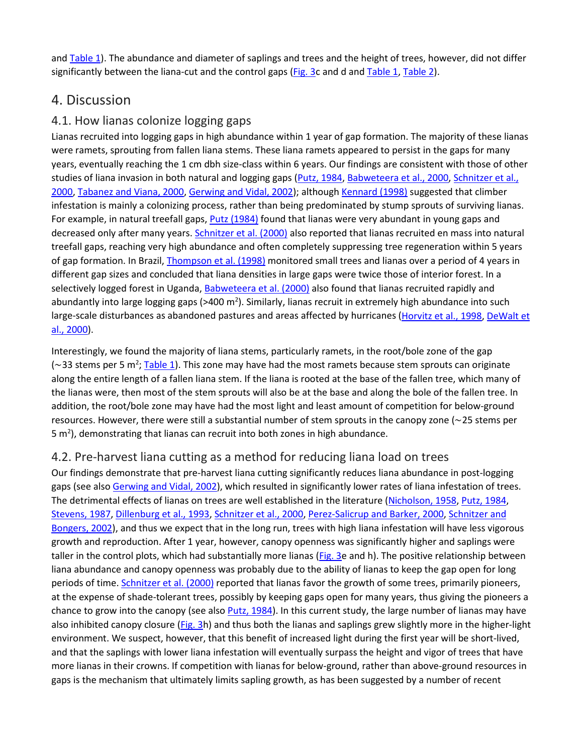and [Table 1\)](https://www.sciencedirect.com/science/article/pii/S0378112703004699?via%3Dihub#TBL1). The abundance and diameter of saplings and trees and the height of trees, however, did not differ significantly between the liana-cut and the control gaps [\(Fig. 3c](https://www.sciencedirect.com/science/article/pii/S0378112703004699?via%3Dihub#FIG3) and d an[d Table 1,](https://www.sciencedirect.com/science/article/pii/S0378112703004699?via%3Dihub#TBL1) [Table 2\)](https://www.sciencedirect.com/science/article/pii/S0378112703004699?via%3Dihub#TBL2).

## 4. Discussion

#### 4.1. How lianas colonize logging gaps

Lianas recruited into logging gaps in high abundance within 1 year of gap formation. The majority of these lianas were ramets, sprouting from fallen liana stems. These liana ramets appeared to persist in the gaps for many years, eventually reaching the 1 cm dbh size-class within 6 years. Our findings are consistent with those of other studies of liana invasion in both natural and logging gaps [\(Putz, 1984,](https://www.sciencedirect.com/science/article/pii/S0378112703004699?via%3Dihub#BIB29) [Babweteera et al., 2000,](https://www.sciencedirect.com/science/article/pii/S0378112703004699?via%3Dihub#BIB3) Schnitzer et al., [2000,](https://www.sciencedirect.com/science/article/pii/S0378112703004699?via%3Dihub#BIB39) [Tabanez and Viana, 2000,](https://www.sciencedirect.com/science/article/pii/S0378112703004699?via%3Dihub#BIB44) [Gerwing and Vidal, 2002\)](https://www.sciencedirect.com/science/article/pii/S0378112703004699?via%3Dihub#BIB14); although [Kennard \(1998\)](https://www.sciencedirect.com/science/article/pii/S0378112703004699?via%3Dihub#BIB18) suggested that climber infestation is mainly a colonizing process, rather than being predominated by stump sprouts of surviving lianas. For example, in natural treefall gaps, [Putz \(1984\)](https://www.sciencedirect.com/science/article/pii/S0378112703004699?via%3Dihub#BIB29) found that lianas were very abundant in young gaps and decreased only after many years[. Schnitzer et al. \(2000\)](https://www.sciencedirect.com/science/article/pii/S0378112703004699?via%3Dihub#BIB39) also reported that lianas recruited en mass into natural treefall gaps, reaching very high abundance and often completely suppressing tree regeneration within 5 years of gap formation. In Brazil, [Thompson et al. \(1998\)](https://www.sciencedirect.com/science/article/pii/S0378112703004699?via%3Dihub#BIB45) monitored small trees and lianas over a period of 4 years in different gap sizes and concluded that liana densities in large gaps were twice those of interior forest. In a selectively logged forest in Uganda, [Babweteera et al. \(2000\)](https://www.sciencedirect.com/science/article/pii/S0378112703004699?via%3Dihub#BIB3) also found that lianas recruited rapidly and abundantly into large logging gaps (>400 m<sup>2</sup>). Similarly, lianas recruit in extremely high abundance into such large-scale disturbances as abandoned pastures and areas affected by hurricanes [\(Horvitz et al., 1998,](https://www.sciencedirect.com/science/article/pii/S0378112703004699?via%3Dihub#BIB16) [DeWalt et](https://www.sciencedirect.com/science/article/pii/S0378112703004699?via%3Dihub#BIB10)  [al., 2000\)](https://www.sciencedirect.com/science/article/pii/S0378112703004699?via%3Dihub#BIB10).

Interestingly, we found the majority of liana stems, particularly ramets, in the root/bole zone of the gap (∼33 stems per 5 m<sup>2</sup>; <u>Table 1</u>). This zone may have had the most ramets because stem sprouts can originate along the entire length of a fallen liana stem. If the liana is rooted at the base of the fallen tree, which many of the lianas were, then most of the stem sprouts will also be at the base and along the bole of the fallen tree. In addition, the root/bole zone may have had the most light and least amount of competition for below-ground resources. However, there were still a substantial number of stem sprouts in the canopy zone (∼25 stems per 5 m<sup>2</sup>), demonstrating that lianas can recruit into both zones in high abundance.

#### 4.2. Pre-harvest liana cutting as a method for reducing liana load on trees

Our findings demonstrate that pre-harvest liana cutting significantly reduces liana abundance in post-logging gaps (see als[o Gerwing and Vidal, 2002\)](https://www.sciencedirect.com/science/article/pii/S0378112703004699?via%3Dihub#BIB14), which resulted in significantly lower rates of liana infestation of trees. The detrimental effects of lianas on trees are well established in the literature [\(Nicholson, 1958,](https://www.sciencedirect.com/science/article/pii/S0378112703004699?via%3Dihub#BIB20) [Putz, 1984,](https://www.sciencedirect.com/science/article/pii/S0378112703004699?via%3Dihub#BIB29) [Stevens, 1987,](https://www.sciencedirect.com/science/article/pii/S0378112703004699?via%3Dihub#BIB43) [Dillenburg et al., 1993,](https://www.sciencedirect.com/science/article/pii/S0378112703004699?via%3Dihub#BIB11) [Schnitzer et al., 2000,](https://www.sciencedirect.com/science/article/pii/S0378112703004699?via%3Dihub#BIB39) [Perez-Salicrup and Barker, 2000,](https://www.sciencedirect.com/science/article/pii/S0378112703004699?via%3Dihub#BIB23) [Schnitzer and](https://www.sciencedirect.com/science/article/pii/S0378112703004699?via%3Dihub#BIB36)  [Bongers, 2002\)](https://www.sciencedirect.com/science/article/pii/S0378112703004699?via%3Dihub#BIB36), and thus we expect that in the long run, trees with high liana infestation will have less vigorous growth and reproduction. After 1 year, however, canopy openness was significantly higher and saplings were taller in the control plots, which had substantially more lianas [\(Fig. 3e](https://www.sciencedirect.com/science/article/pii/S0378112703004699?via%3Dihub#FIG3) and h). The positive relationship between liana abundance and canopy openness was probably due to the ability of lianas to keep the gap open for long periods of time[. Schnitzer et al. \(2000\)](https://www.sciencedirect.com/science/article/pii/S0378112703004699?via%3Dihub#BIB39) reported that lianas favor the growth of some trees, primarily pioneers, at the expense of shade-tolerant trees, possibly by keeping gaps open for many years, thus giving the pioneers a chance to grow into the canopy (see also [Putz, 1984\)](https://www.sciencedirect.com/science/article/pii/S0378112703004699?via%3Dihub#BIB29). In this current study, the large number of lianas may have also inhibited canopy closure [\(Fig. 3h](https://www.sciencedirect.com/science/article/pii/S0378112703004699?via%3Dihub#FIG3)) and thus both the lianas and saplings grew slightly more in the higher-light environment. We suspect, however, that this benefit of increased light during the first year will be short-lived, and that the saplings with lower liana infestation will eventually surpass the height and vigor of trees that have more lianas in their crowns. If competition with lianas for below-ground, rather than above-ground resources in gaps is the mechanism that ultimately limits sapling growth, as has been suggested by a number of recent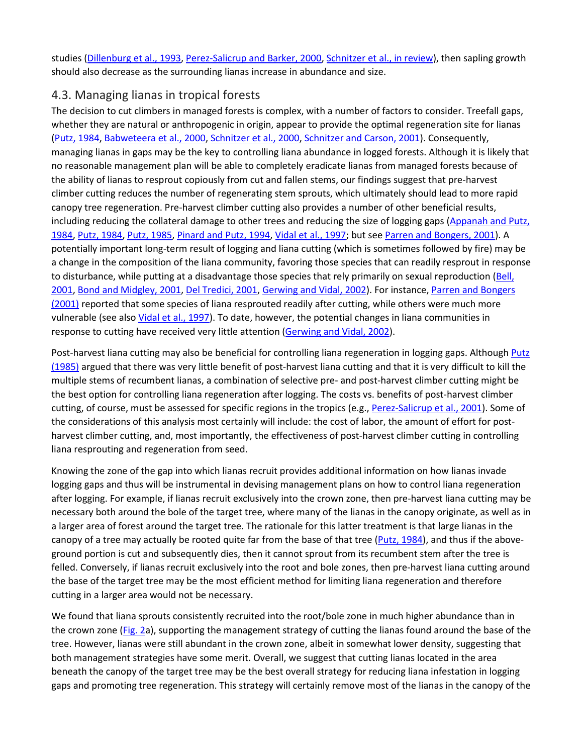studies [\(Dillenburg et al., 1993,](https://www.sciencedirect.com/science/article/pii/S0378112703004699?via%3Dihub#BIB11) [Perez-Salicrup and Barker, 2000,](https://www.sciencedirect.com/science/article/pii/S0378112703004699?via%3Dihub#BIB23) [Schnitzer et al., in review\)](https://www.sciencedirect.com/science/article/pii/S0378112703004699?via%3Dihub#BIB40), then sapling growth should also decrease as the surrounding lianas increase in abundance and size.

#### 4.3. Managing lianas in tropical forests

The decision to cut climbers in managed forests is complex, with a number of factors to consider. Treefall gaps, whether they are natural or anthropogenic in origin, appear to provide the optimal regeneration site for lianas [\(Putz, 1984,](https://www.sciencedirect.com/science/article/pii/S0378112703004699?via%3Dihub#BIB29) [Babweteera et al., 2000,](https://www.sciencedirect.com/science/article/pii/S0378112703004699?via%3Dihub#BIB3) [Schnitzer et al., 2000,](https://www.sciencedirect.com/science/article/pii/S0378112703004699?via%3Dihub#BIB39) [Schnitzer and Carson, 2001\)](https://www.sciencedirect.com/science/article/pii/S0378112703004699?via%3Dihub#BIB38). Consequently, managing lianas in gaps may be the key to controlling liana abundance in logged forests. Although it is likely that no reasonable management plan will be able to completely eradicate lianas from managed forests because of the ability of lianas to resprout copiously from cut and fallen stems, our findings suggest that pre-harvest climber cutting reduces the number of regenerating stem sprouts, which ultimately should lead to more rapid canopy tree regeneration. Pre-harvest climber cutting also provides a number of other beneficial results, including reducing the collateral damage to other trees and reducing the size of logging gaps [\(Appanah and Putz,](https://www.sciencedirect.com/science/article/pii/S0378112703004699?via%3Dihub#BIB2)  [1984,](https://www.sciencedirect.com/science/article/pii/S0378112703004699?via%3Dihub#BIB2) [Putz, 1984,](https://www.sciencedirect.com/science/article/pii/S0378112703004699?via%3Dihub#BIB29) [Putz, 1985,](https://www.sciencedirect.com/science/article/pii/S0378112703004699?via%3Dihub#BIB30) [Pinard and Putz, 1994,](https://www.sciencedirect.com/science/article/pii/S0378112703004699?via%3Dihub#BIB26) [Vidal et al., 1997;](https://www.sciencedirect.com/science/article/pii/S0378112703004699?via%3Dihub#BIB47) but se[e Parren and Bongers, 2001\)](https://www.sciencedirect.com/science/article/pii/S0378112703004699?via%3Dihub#BIB21). A potentially important long-term result of logging and liana cutting (which is sometimes followed by fire) may be a change in the composition of the liana community, favoring those species that can readily resprout in response to disturbance, while putting at a disadvantage those species that rely primarily on sexual reproduction [\(Bell,](https://www.sciencedirect.com/science/article/pii/S0378112703004699?via%3Dihub#BIB4)  [2001,](https://www.sciencedirect.com/science/article/pii/S0378112703004699?via%3Dihub#BIB4) [Bond and Midgley, 2001,](https://www.sciencedirect.com/science/article/pii/S0378112703004699?via%3Dihub#BIB5) [Del Tredici, 2001,](https://www.sciencedirect.com/science/article/pii/S0378112703004699?via%3Dihub#BIB9) [Gerwing and Vidal, 2002\)](https://www.sciencedirect.com/science/article/pii/S0378112703004699?via%3Dihub#BIB14). For instance, [Parren and Bongers](https://www.sciencedirect.com/science/article/pii/S0378112703004699?via%3Dihub#BIB21)  [\(2001\)](https://www.sciencedirect.com/science/article/pii/S0378112703004699?via%3Dihub#BIB21) reported that some species of liana resprouted readily after cutting, while others were much more vulnerable (see also [Vidal et al., 1997\)](https://www.sciencedirect.com/science/article/pii/S0378112703004699?via%3Dihub#BIB47). To date, however, the potential changes in liana communities in response to cutting have received very little attention [\(Gerwing and Vidal, 2002\)](https://www.sciencedirect.com/science/article/pii/S0378112703004699?via%3Dihub#BIB14).

Post-harvest liana cutting may also be beneficial for controlling liana regeneration in logging gaps. Although Putz [\(1985\)](https://www.sciencedirect.com/science/article/pii/S0378112703004699?via%3Dihub#BIB30) argued that there was very little benefit of post-harvest liana cutting and that it is very difficult to kill the multiple stems of recumbent lianas, a combination of selective pre- and post-harvest climber cutting might be the best option for controlling liana regeneration after logging. The costs vs. benefits of post-harvest climber cutting, of course, must be assessed for specific regions in the tropics (e.g.[, Perez-Salicrup et al., 2001\)](https://www.sciencedirect.com/science/article/pii/S0378112703004699?via%3Dihub#BIB24). Some of the considerations of this analysis most certainly will include: the cost of labor, the amount of effort for postharvest climber cutting, and, most importantly, the effectiveness of post-harvest climber cutting in controlling liana resprouting and regeneration from seed.

Knowing the zone of the gap into which lianas recruit provides additional information on how lianas invade logging gaps and thus will be instrumental in devising management plans on how to control liana regeneration after logging. For example, if lianas recruit exclusively into the crown zone, then pre-harvest liana cutting may be necessary both around the bole of the target tree, where many of the lianas in the canopy originate, as well as in a larger area of forest around the target tree. The rationale for this latter treatment is that large lianas in the canopy of a tree may actually be rooted quite far from the base of that tree [\(Putz, 1984\)](https://www.sciencedirect.com/science/article/pii/S0378112703004699?via%3Dihub#BIB29), and thus if the aboveground portion is cut and subsequently dies, then it cannot sprout from its recumbent stem after the tree is felled. Conversely, if lianas recruit exclusively into the root and bole zones, then pre-harvest liana cutting around the base of the target tree may be the most efficient method for limiting liana regeneration and therefore cutting in a larger area would not be necessary.

We found that liana sprouts consistently recruited into the root/bole zone in much higher abundance than in the crown zone [\(Fig. 2a](https://www.sciencedirect.com/science/article/pii/S0378112703004699?via%3Dihub#FIG2)), supporting the management strategy of cutting the lianas found around the base of the tree. However, lianas were still abundant in the crown zone, albeit in somewhat lower density, suggesting that both management strategies have some merit. Overall, we suggest that cutting lianas located in the area beneath the canopy of the target tree may be the best overall strategy for reducing liana infestation in logging gaps and promoting tree regeneration. This strategy will certainly remove most of the lianas in the canopy of the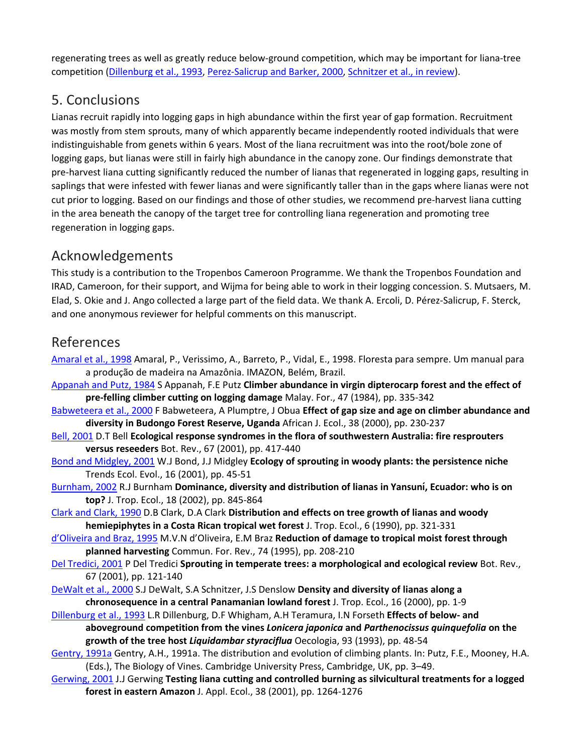regenerating trees as well as greatly reduce below-ground competition, which may be important for liana-tree competition [\(Dillenburg et al., 1993,](https://www.sciencedirect.com/science/article/pii/S0378112703004699?via%3Dihub#BIB11) [Perez-Salicrup and Barker, 2000,](https://www.sciencedirect.com/science/article/pii/S0378112703004699?via%3Dihub#BIB23) [Schnitzer et al., in review\)](https://www.sciencedirect.com/science/article/pii/S0378112703004699?via%3Dihub#BIB40).

## 5. Conclusions

Lianas recruit rapidly into logging gaps in high abundance within the first year of gap formation. Recruitment was mostly from stem sprouts, many of which apparently became independently rooted individuals that were indistinguishable from genets within 6 years. Most of the liana recruitment was into the root/bole zone of logging gaps, but lianas were still in fairly high abundance in the canopy zone. Our findings demonstrate that pre-harvest liana cutting significantly reduced the number of lianas that regenerated in logging gaps, resulting in saplings that were infested with fewer lianas and were significantly taller than in the gaps where lianas were not cut prior to logging. Based on our findings and those of other studies, we recommend pre-harvest liana cutting in the area beneath the canopy of the target tree for controlling liana regeneration and promoting tree regeneration in logging gaps.

## Acknowledgements

This study is a contribution to the Tropenbos Cameroon Programme. We thank the Tropenbos Foundation and IRAD, Cameroon, for their support, and Wijma for being able to work in their logging concession. S. Mutsaers, M. Elad, S. Okie and J. Ango collected a large part of the field data. We thank A. Ercoli, D. Pérez-Salicrup, F. Sterck, and one anonymous reviewer for helpful comments on this manuscript.

## References

- [Amaral et al., 1998](https://www.sciencedirect.com/science/article/pii/S0378112703004699?via%3Dihub#bBIB1) Amaral, P., Verissimo, A., Barreto, P., Vidal, E., 1998. Floresta para sempre. Um manual para a produção de madeira na Amazônia. IMAZON, Belém, Brazil.
- [Appanah and Putz, 1984](https://www.sciencedirect.com/science/article/pii/S0378112703004699?via%3Dihub#bBIB2) S Appanah, F.E Putz **Climber abundance in virgin dipterocarp forest and the effect of pre-felling climber cutting on logging damage** Malay. For., 47 (1984), pp. 335-342
- [Babweteera et al., 2000](https://www.sciencedirect.com/science/article/pii/S0378112703004699?via%3Dihub#bBIB3) F Babweteera, A Plumptre, J Obua **Effect of gap size and age on climber abundance and diversity in Budongo Forest Reserve, Uganda** African J. Ecol., 38 (2000), pp. 230-237
- [Bell, 2001](https://www.sciencedirect.com/science/article/pii/S0378112703004699?via%3Dihub#bBIB4) D.T Bell **Ecological response syndromes in the flora of southwestern Australia: fire resprouters versus reseeders** Bot. Rev., 67 (2001), pp. 417-440
- [Bond and Midgley, 2001](https://www.sciencedirect.com/science/article/pii/S0378112703004699?via%3Dihub#bBIB5) W.J Bond, J.J Midgley **Ecology of sprouting in woody plants: the persistence niche** Trends Ecol. Evol., 16 (2001), pp. 45-51
- [Burnham, 2002](https://www.sciencedirect.com/science/article/pii/S0378112703004699?via%3Dihub#bBIB6) R.J Burnham **Dominance, diversity and distribution of lianas in Yansunı, Ecuador: who is o ́ n top?** J. Trop. Ecol., 18 (2002), pp. 845-864
- [Clark and Clark, 1990](https://www.sciencedirect.com/science/article/pii/S0378112703004699?via%3Dihub#bBIB7) D.B Clark, D.A Clark **Distribution and effects on tree growth of lianas and woody hemiepiphytes in a Costa Rican tropical wet forest** J. Trop. Ecol., 6 (1990), pp. 321-331
- [d'Oliveira and Braz, 1995](https://www.sciencedirect.com/science/article/pii/S0378112703004699?via%3Dihub#bBIB8) M.V.N d'Oliveira, E.M Braz **Reduction of damage to tropical moist forest through planned harvesting** Commun. For. Rev., 74 (1995), pp. 208-210
- [Del Tredici, 2001](https://www.sciencedirect.com/science/article/pii/S0378112703004699?via%3Dihub#bBIB9) P Del Tredici **Sprouting in temperate trees: a morphological and ecological review** Bot. Rev., 67 (2001), pp. 121-140
- [DeWalt et al., 2000](https://www.sciencedirect.com/science/article/pii/S0378112703004699?via%3Dihub#bBIB10) S.J DeWalt, S.A Schnitzer, J.S Denslow **Density and diversity of lianas along a chronosequence in a central Panamanian lowland forest** J. Trop. Ecol., 16 (2000), pp. 1-9
- Dillenburg [et al., 1993](https://www.sciencedirect.com/science/article/pii/S0378112703004699?via%3Dihub#bBIB11) L.R Dillenburg, D.F Whigham, A.H Teramura, I.N Forseth **Effects of below- and aboveground competition from the vines** *Lonicera japonica* **and** *Parthenocissus quinquefolia* **on the growth of the tree host** *Liquidambar styraciflua* Oecologia, 93 (1993), pp. 48-54
- [Gentry, 1991a](https://www.sciencedirect.com/science/article/pii/S0378112703004699?via%3Dihub#bBIB12) Gentry, A.H., 1991a. The distribution and evolution of climbing plants. In: Putz, F.E., Mooney, H.A. (Eds.), The Biology of Vines. Cambridge University Press, Cambridge, UK, pp. 3–49.
- [Gerwing, 2001](https://www.sciencedirect.com/science/article/pii/S0378112703004699?via%3Dihub#bBIB13) J.J Gerwing **Testing liana cutting and controlled burning as silvicultural treatments for a logged forest in eastern Amazon** J. Appl. Ecol., 38 (2001), pp. 1264-1276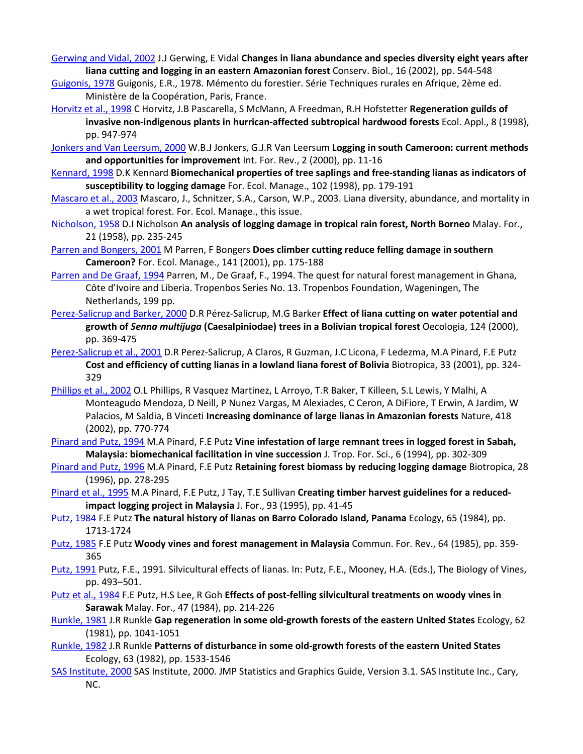[Gerwing and Vidal, 2002](https://www.sciencedirect.com/science/article/pii/S0378112703004699?via%3Dihub#bBIB14) J.J Gerwing, E Vidal **Changes in liana abundance and species diversity eight years after liana cutting and logging in an eastern Amazonian forest** Conserv. Biol., 16 (2002), pp. 544-548

- [Guigonis, 1978](https://www.sciencedirect.com/science/article/pii/S0378112703004699?via%3Dihub#bBIB15) Guigonis, E.R., 1978. Mémento du forestier. Série Techniques rurales en Afrique, 2ème ed. Ministère de la Coopération, Paris, France.
- [Horvitz et al., 1998](https://www.sciencedirect.com/science/article/pii/S0378112703004699?via%3Dihub#bBIB16) C Horvitz, J.B Pascarella, S McMann, A Freedman, R.H Hofstetter **Regeneration guilds of invasive non-indigenous plants in hurrican-affected subtropical hardwood forests** Ecol. Appl., 8 (1998), pp. 947-974
- [Jonkers and Van Leersum, 2000](https://www.sciencedirect.com/science/article/pii/S0378112703004699?via%3Dihub#bBIB17) W.B.J Jonkers, G.J.R Van Leersum **Logging in south Cameroon: current methods and opportunities for improvement** Int. For. Rev., 2 (2000), pp. 11-16
- [Kennard, 1998](https://www.sciencedirect.com/science/article/pii/S0378112703004699?via%3Dihub#bBIB18) D.K Kennard **Biomechanical properties of tree saplings and free-standing lianas as indicators of susceptibility to logging damage** For. Ecol. Manage., 102 (1998), pp. 179-191
- [Mascaro et al., 2003](https://www.sciencedirect.com/science/article/pii/S0378112703004699?via%3Dihub#bBIB19) Mascaro, J., Schnitzer, S.A., Carson, W.P., 2003. Liana diversity, abundance, and mortality in a wet tropical forest. For. Ecol. Manage., this issue.
- [Nicholson, 1958](https://www.sciencedirect.com/science/article/pii/S0378112703004699?via%3Dihub#bBIB20) D.I Nicholson **An analysis of logging damage in tropical rain forest, North Borneo** Malay. For., 21 (1958), pp. 235-245
- [Parren and Bongers, 2001](https://www.sciencedirect.com/science/article/pii/S0378112703004699?via%3Dihub#bBIB21) M Parren, F Bongers **Does climber cutting reduce felling damage in southern Cameroon?** For. Ecol. Manage., 141 (2001), pp. 175-188
- [Parren and De Graaf, 1994](https://www.sciencedirect.com/science/article/pii/S0378112703004699?via%3Dihub#bBIB22) Parren, M., De Graaf, F., 1994. The quest for natural forest management in Ghana, Côte d'Ivoire and Liberia. Tropenbos Series No. 13. Tropenbos Foundation, Wageningen, The Netherlands, 199 pp.
- [Perez-Salicrup and Barker, 2000](https://www.sciencedirect.com/science/article/pii/S0378112703004699?via%3Dihub#bBIB23) D.R Pérez-Salicrup, M.G Barker **Effect of liana cutting on water potential and growth of** *Senna multijuga* **(Caesalpiniodae) trees in a Bolivian tropical forest** Oecologia, 124 (2000), pp. 369-475
- [Perez-Salicrup et al., 2001](https://www.sciencedirect.com/science/article/pii/S0378112703004699?via%3Dihub#bBIB24) D.R Perez-Salicrup, A Claros, R Guzman, J.C Licona, F Ledezma, M.A Pinard, F.E Putz **Cost and efficiency of cutting lianas in a lowland liana forest of Bolivia** Biotropica, 33 (2001), pp. 324- 329
- [Phillips et al., 2002](https://www.sciencedirect.com/science/article/pii/S0378112703004699?via%3Dihub#bBIB25) O.L Phillips, R Vasquez Martinez, L Arroyo, T.R Baker, T Killeen, S.L Lewis, Y Malhi, A Monteagudo Mendoza, D Neill, P Nunez Vargas, M Alexiades, C Ceron, A DiFiore, T Erwin, A Jardim, W Palacios, M Saldia, B Vinceti **Increasing dominance of large lianas in Amazonian forests** Nature, 418 (2002), pp. 770-774
- [Pinard and Putz, 1994](https://www.sciencedirect.com/science/article/pii/S0378112703004699?via%3Dihub#bBIB26) M.A Pinard, F.E Putz **Vine infestation of large remnant trees in logged forest in Sabah, Malaysia: biomechanical facilitation in vine succession** J. Trop. For. Sci., 6 (1994), pp. 302-309
- [Pinard and Putz, 1996](https://www.sciencedirect.com/science/article/pii/S0378112703004699?via%3Dihub#bBIB27) M.A Pinard, F.E Putz **Retaining forest biomass by reducing logging damage** Biotropica, 28 (1996), pp. 278-295
- [Pinard et al., 1995](https://www.sciencedirect.com/science/article/pii/S0378112703004699?via%3Dihub#bBIB28) M.A Pinard, F.E Putz, J Tay, T.E Sullivan **Creating timber harvest guidelines for a reducedimpact logging project in Malaysia** J. For., 93 (1995), pp. 41-45
- [Putz, 1984](https://www.sciencedirect.com/science/article/pii/S0378112703004699?via%3Dihub#bBIB29) F.E Putz **The natural history of lianas on Barro Colorado Island, Panama** Ecology, 65 (1984), pp. 1713-1724
- [Putz, 1985](https://www.sciencedirect.com/science/article/pii/S0378112703004699?via%3Dihub#bBIB30) F.E Putz **Woody vines and forest management in Malaysia** Commun. For. Rev., 64 (1985), pp. 359- 365
- [Putz, 1991](https://www.sciencedirect.com/science/article/pii/S0378112703004699?via%3Dihub#bBIB31) Putz, F.E., 1991. Silvicultural effects of lianas. In: Putz, F.E., Mooney, H.A. (Eds.), The Biology of Vines, pp. 493–501.
- [Putz et al., 1984](https://www.sciencedirect.com/science/article/pii/S0378112703004699?via%3Dihub#bBIB32) F.E Putz, H.S Lee, R Goh **Effects of post-felling silvicultural treatments on woody vines in Sarawak** Malay. For., 47 (1984), pp. 214-226
- [Runkle, 1981](https://www.sciencedirect.com/science/article/pii/S0378112703004699?via%3Dihub#bBIB33) J.R Runkle **Gap regeneration in some old-growth forests of the eastern United States** Ecology, 62 (1981), pp. 1041-1051
- [Runkle, 1982](https://www.sciencedirect.com/science/article/pii/S0378112703004699?via%3Dihub#bBIB34) J.R Runkle **Patterns of disturbance in some old-growth forests of the eastern United States** Ecology, 63 (1982), pp. 1533-1546
- [SAS Institute, 2000](https://www.sciencedirect.com/science/article/pii/S0378112703004699?via%3Dihub#bBIB35) SAS Institute, 2000. JMP Statistics and Graphics Guide, Version 3.1. SAS Institute Inc., Cary, NC.